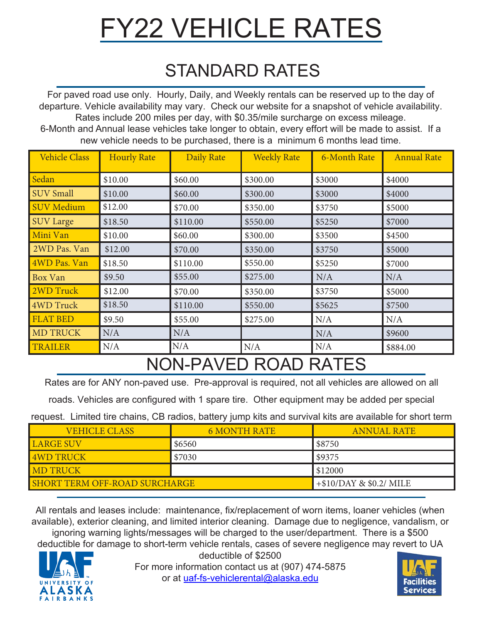# FY22 VEHICLE RATES

#### STANDARD RATES

For paved road use only. Hourly, Daily, and Weekly rentals can be reserved up to the day of departure. Vehicle availability may vary. Check our website for a snapshot of vehicle availability. Rates include 200 miles per day, with \$0.35/mile surcharge on excess mileage. 6-Month and Annual lease vehicles take longer to obtain, every effort will be made to assist. If a new vehicle needs to be purchased, there is a minimum 6 months lead time.

| <b>Vehicle Class</b> | <b>Hourly Rate</b> | <b>Daily Rate</b> | <b>Weekly Rate</b> | <b>6-Month Rate</b> | <b>Annual Rate</b> |
|----------------------|--------------------|-------------------|--------------------|---------------------|--------------------|
| Sedan                | \$10.00            | \$60.00           | \$300.00           | \$3000              | \$4000             |
| <b>SUV Small</b>     | \$10.00            | \$60.00           | \$300.00           | \$3000              | \$4000             |
| <b>SUV Medium</b>    | \$12.00            | \$70.00           | \$350.00           | \$3750              | \$5000             |
| <b>SUV Large</b>     | \$18.50            | \$110.00          | \$550.00           | \$5250              | \$7000             |
| Mini Van             | \$10.00            | \$60.00           | \$300.00           | \$3500              | \$4500             |
| 2WD Pas. Van         | \$12.00            | \$70.00           | \$350.00           | \$3750              | \$5000             |
| 4WD Pas. Van         | \$18.50            | \$110.00          | \$550.00           | \$5250              | \$7000             |
| Box Van              | \$9.50             | \$55.00           | \$275.00           | N/A                 | N/A                |
| 2WD Truck            | \$12.00            | \$70.00           | \$350.00           | \$3750              | \$5000             |
| <b>4WD Truck</b>     | \$18.50            | \$110.00          | \$550.00           | \$5625              | \$7500             |
| <b>FLAT BED</b>      | \$9.50             | \$55.00           | \$275.00           | N/A                 | N/A                |
| <b>MD TRUCK</b>      | N/A                | N/A               |                    | N/A                 | \$9600             |
| <b>TRAILER</b>       | N/A                | N/A               | N/A                | N/A                 | \$884.00           |

### NON-PAVED ROAD RATES

Rates are for ANY non-paved use. Pre-approval is required, not all vehicles are allowed on all

roads. Vehicles are configured with 1 spare tire. Other equipment may be added per special

request. Limited tire chains, CB radios, battery jump kits and survival kits are available for short term

| <b>VEHICLE CLASS</b>                 | <b>6 MONTH RATE</b>      | <b>ANNUAL RATE</b> |
|--------------------------------------|--------------------------|--------------------|
| <b>LARGE SUV</b>                     | \$6560                   | \$8750             |
| <b>4WD TRUCK</b>                     | \$7030                   | \$9375             |
| <b>IMD TRUCK</b>                     |                          | \$12000            |
| <b>SHORT TERM OFF-ROAD SURCHARGE</b> | $+$10/DAY$ & \$0.2/ MILE |                    |

All rentals and leases include: maintenance, fix/replacement of worn items, loaner vehicles (when available), exterior cleaning, and limited interior cleaning. Damage due to negligence, vandalism, or

ignoring warning lights/messages will be charged to the user/department. There is a \$500 deductible for damage to short-term vehicle rentals, cases of severe negligence may revert to UA deductible of \$2500



For more information contact us at (907) 474-5875 or at uaf-fs-vehiclerental@alaska.edu